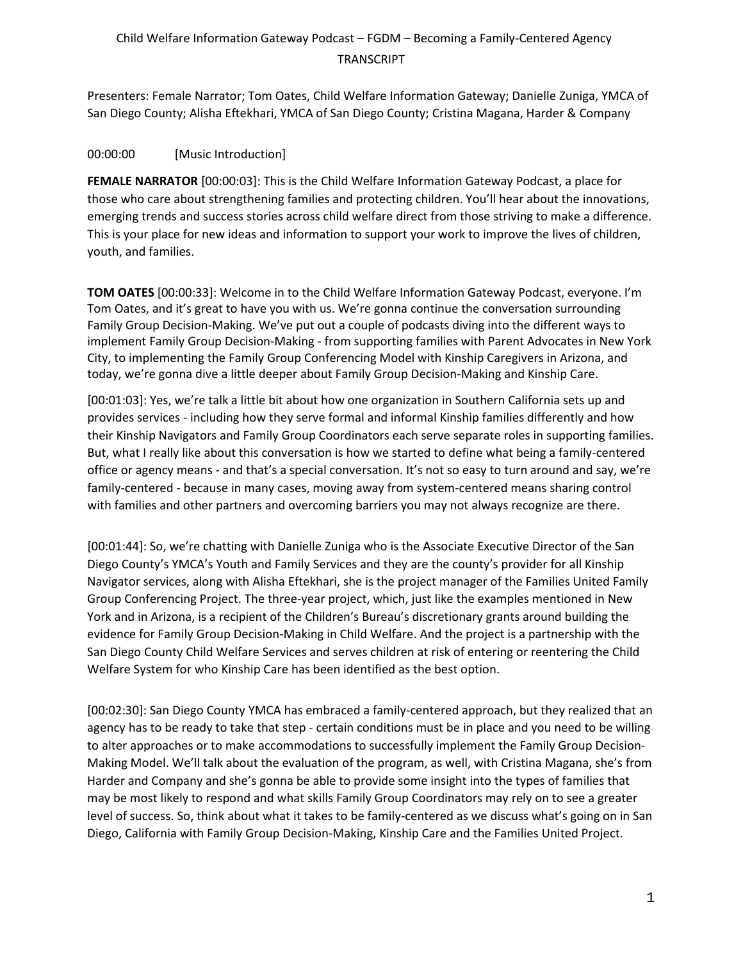Presenters: Female Narrator; Tom Oates, Child Welfare Information Gateway; Danielle Zuniga, YMCA of San Diego County; Alisha Eftekhari, YMCA of San Diego County; Cristina Magana, Harder & Company

#### 00:00:00 [Music Introduction]

**FEMALE NARRATOR** [00:00:03]: This is the Child Welfare Information Gateway Podcast, a place for those who care about strengthening families and protecting children. You'll hear about the innovations, emerging trends and success stories across child welfare direct from those striving to make a difference. This is your place for new ideas and information to support your work to improve the lives of children, youth, and families.

**TOM OATES** [00:00:33]: Welcome in to the Child Welfare Information Gateway Podcast, everyone. I'm Tom Oates, and it's great to have you with us. We're gonna continue the conversation surrounding Family Group Decision-Making. We've put out a couple of podcasts diving into the different ways to implement Family Group Decision-Making - from supporting families with Parent Advocates in New York City, to implementing the Family Group Conferencing Model with Kinship Caregivers in Arizona, and today, we're gonna dive a little deeper about Family Group Decision-Making and Kinship Care.

[00:01:03]: Yes, we're talk a little bit about how one organization in Southern California sets up and provides services - including how they serve formal and informal Kinship families differently and how their Kinship Navigators and Family Group Coordinators each serve separate roles in supporting families. But, what I really like about this conversation is how we started to define what being a family-centered office or agency means - and that's a special conversation. It's not so easy to turn around and say, we're family-centered - because in many cases, moving away from system-centered means sharing control with families and other partners and overcoming barriers you may not always recognize are there.

[00:01:44]: So, we're chatting with Danielle Zuniga who is the Associate Executive Director of the San Diego County's YMCA's Youth and Family Services and they are the county's provider for all Kinship Navigator services, along with Alisha Eftekhari, she is the project manager of the Families United Family Group Conferencing Project. The three-year project, which, just like the examples mentioned in New York and in Arizona, is a recipient of the Children's Bureau's discretionary grants around building the evidence for Family Group Decision-Making in Child Welfare. And the project is a partnership with the San Diego County Child Welfare Services and serves children at risk of entering or reentering the Child Welfare System for who Kinship Care has been identified as the best option.

[00:02:30]: San Diego County YMCA has embraced a family-centered approach, but they realized that an agency has to be ready to take that step - certain conditions must be in place and you need to be willing to alter approaches or to make accommodations to successfully implement the Family Group Decision-Making Model. We'll talk about the evaluation of the program, as well, with Cristina Magana, she's from Harder and Company and she's gonna be able to provide some insight into the types of families that may be most likely to respond and what skills Family Group Coordinators may rely on to see a greater level of success. So, think about what it takes to be family-centered as we discuss what's going on in San Diego, California with Family Group Decision-Making, Kinship Care and the Families United Project.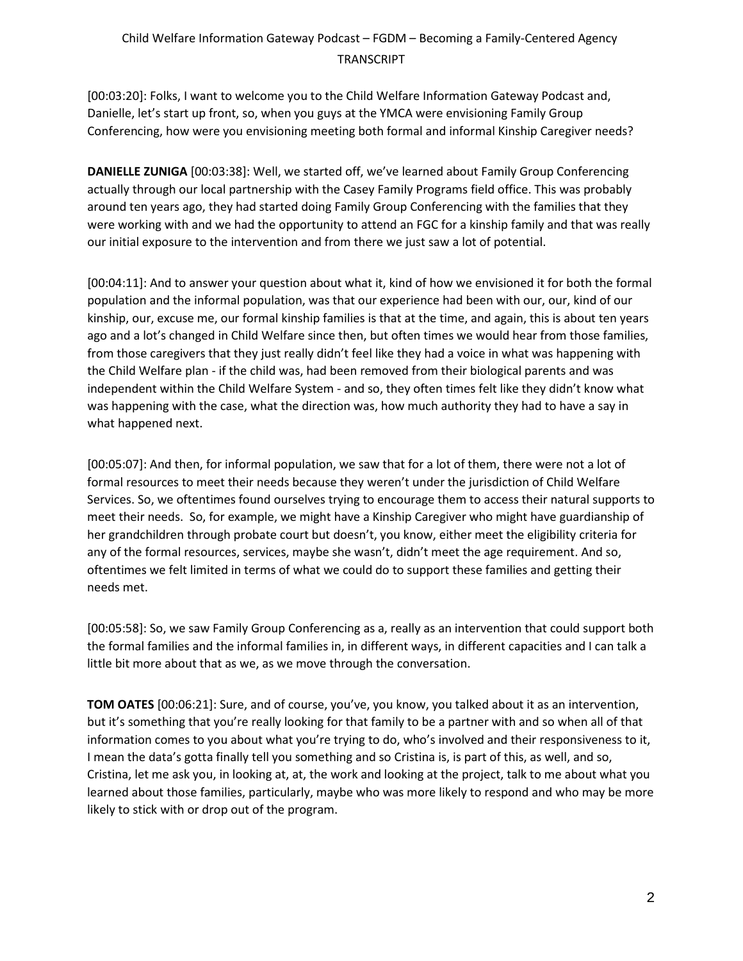[00:03:20]: Folks, I want to welcome you to the Child Welfare Information Gateway Podcast and, Danielle, let's start up front, so, when you guys at the YMCA were envisioning Family Group Conferencing, how were you envisioning meeting both formal and informal Kinship Caregiver needs?

**DANIELLE ZUNIGA** [00:03:38]: Well, we started off, we've learned about Family Group Conferencing actually through our local partnership with the Casey Family Programs field office. This was probably around ten years ago, they had started doing Family Group Conferencing with the families that they were working with and we had the opportunity to attend an FGC for a kinship family and that was really our initial exposure to the intervention and from there we just saw a lot of potential.

[00:04:11]: And to answer your question about what it, kind of how we envisioned it for both the formal population and the informal population, was that our experience had been with our, our, kind of our kinship, our, excuse me, our formal kinship families is that at the time, and again, this is about ten years ago and a lot's changed in Child Welfare since then, but often times we would hear from those families, from those caregivers that they just really didn't feel like they had a voice in what was happening with the Child Welfare plan - if the child was, had been removed from their biological parents and was independent within the Child Welfare System - and so, they often times felt like they didn't know what was happening with the case, what the direction was, how much authority they had to have a say in what happened next.

[00:05:07]: And then, for informal population, we saw that for a lot of them, there were not a lot of formal resources to meet their needs because they weren't under the jurisdiction of Child Welfare Services. So, we oftentimes found ourselves trying to encourage them to access their natural supports to meet their needs. So, for example, we might have a Kinship Caregiver who might have guardianship of her grandchildren through probate court but doesn't, you know, either meet the eligibility criteria for any of the formal resources, services, maybe she wasn't, didn't meet the age requirement. And so, oftentimes we felt limited in terms of what we could do to support these families and getting their needs met.

[00:05:58]: So, we saw Family Group Conferencing as a, really as an intervention that could support both the formal families and the informal families in, in different ways, in different capacities and I can talk a little bit more about that as we, as we move through the conversation.

**TOM OATES** [00:06:21]: Sure, and of course, you've, you know, you talked about it as an intervention, but it's something that you're really looking for that family to be a partner with and so when all of that information comes to you about what you're trying to do, who's involved and their responsiveness to it, I mean the data's gotta finally tell you something and so Cristina is, is part of this, as well, and so, Cristina, let me ask you, in looking at, at, the work and looking at the project, talk to me about what you learned about those families, particularly, maybe who was more likely to respond and who may be more likely to stick with or drop out of the program.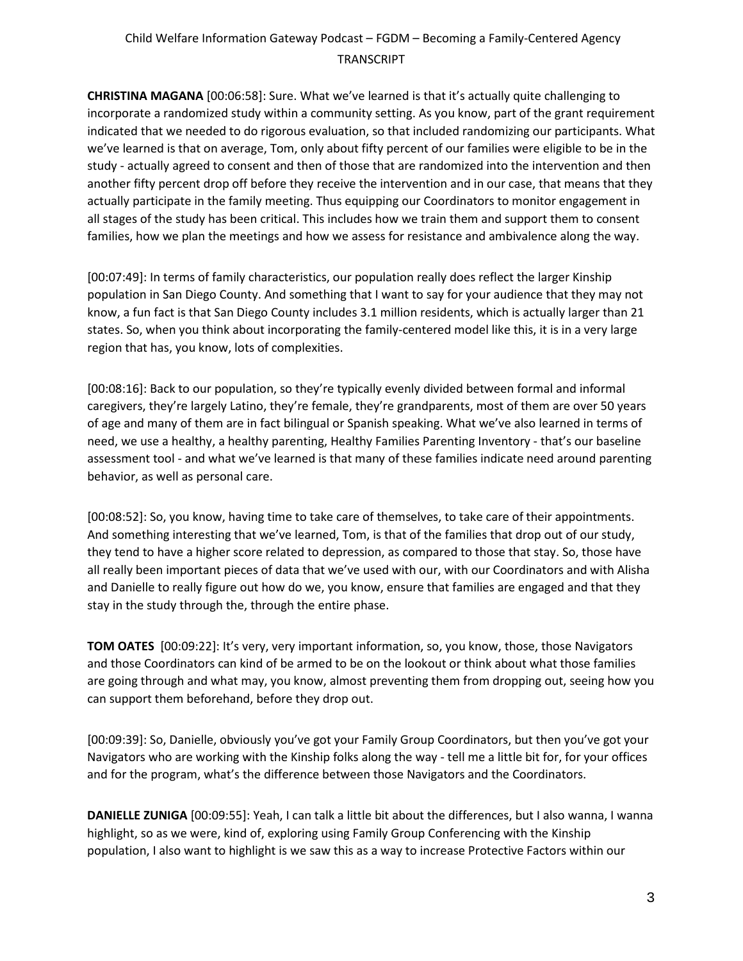**CHRISTINA MAGANA** [00:06:58]: Sure. What we've learned is that it's actually quite challenging to incorporate a randomized study within a community setting. As you know, part of the grant requirement indicated that we needed to do rigorous evaluation, so that included randomizing our participants. What we've learned is that on average, Tom, only about fifty percent of our families were eligible to be in the study - actually agreed to consent and then of those that are randomized into the intervention and then another fifty percent drop off before they receive the intervention and in our case, that means that they actually participate in the family meeting. Thus equipping our Coordinators to monitor engagement in all stages of the study has been critical. This includes how we train them and support them to consent families, how we plan the meetings and how we assess for resistance and ambivalence along the way.

[00:07:49]: In terms of family characteristics, our population really does reflect the larger Kinship population in San Diego County. And something that I want to say for your audience that they may not know, a fun fact is that San Diego County includes 3.1 million residents, which is actually larger than 21 states. So, when you think about incorporating the family-centered model like this, it is in a very large region that has, you know, lots of complexities.

[00:08:16]: Back to our population, so they're typically evenly divided between formal and informal caregivers, they're largely Latino, they're female, they're grandparents, most of them are over 50 years of age and many of them are in fact bilingual or Spanish speaking. What we've also learned in terms of need, we use a healthy, a healthy parenting, Healthy Families Parenting Inventory - that's our baseline assessment tool - and what we've learned is that many of these families indicate need around parenting behavior, as well as personal care.

[00:08:52]: So, you know, having time to take care of themselves, to take care of their appointments. And something interesting that we've learned, Tom, is that of the families that drop out of our study, they tend to have a higher score related to depression, as compared to those that stay. So, those have all really been important pieces of data that we've used with our, with our Coordinators and with Alisha and Danielle to really figure out how do we, you know, ensure that families are engaged and that they stay in the study through the, through the entire phase.

**TOM OATES** [00:09:22]: It's very, very important information, so, you know, those, those Navigators and those Coordinators can kind of be armed to be on the lookout or think about what those families are going through and what may, you know, almost preventing them from dropping out, seeing how you can support them beforehand, before they drop out.

[00:09:39]: So, Danielle, obviously you've got your Family Group Coordinators, but then you've got your Navigators who are working with the Kinship folks along the way - tell me a little bit for, for your offices and for the program, what's the difference between those Navigators and the Coordinators.

**DANIELLE ZUNIGA** [00:09:55]: Yeah, I can talk a little bit about the differences, but I also wanna, I wanna highlight, so as we were, kind of, exploring using Family Group Conferencing with the Kinship population, I also want to highlight is we saw this as a way to increase Protective Factors within our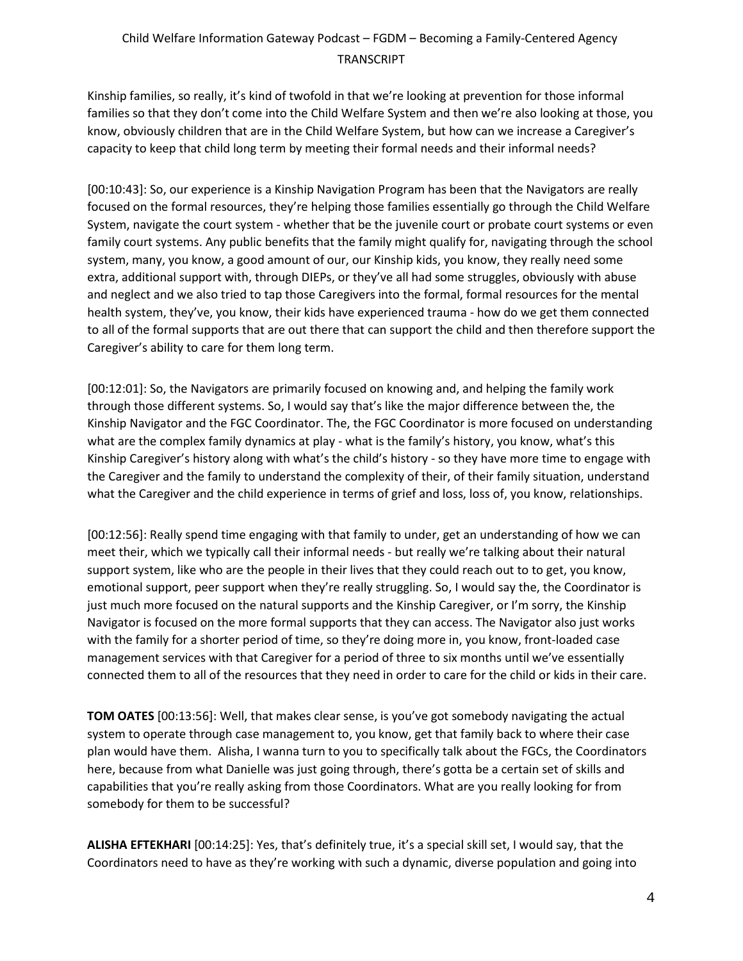Kinship families, so really, it's kind of twofold in that we're looking at prevention for those informal families so that they don't come into the Child Welfare System and then we're also looking at those, you know, obviously children that are in the Child Welfare System, but how can we increase a Caregiver's capacity to keep that child long term by meeting their formal needs and their informal needs?

[00:10:43]: So, our experience is a Kinship Navigation Program has been that the Navigators are really focused on the formal resources, they're helping those families essentially go through the Child Welfare System, navigate the court system - whether that be the juvenile court or probate court systems or even family court systems. Any public benefits that the family might qualify for, navigating through the school system, many, you know, a good amount of our, our Kinship kids, you know, they really need some extra, additional support with, through DIEPs, or they've all had some struggles, obviously with abuse and neglect and we also tried to tap those Caregivers into the formal, formal resources for the mental health system, they've, you know, their kids have experienced trauma - how do we get them connected to all of the formal supports that are out there that can support the child and then therefore support the Caregiver's ability to care for them long term.

[00:12:01]: So, the Navigators are primarily focused on knowing and, and helping the family work through those different systems. So, I would say that's like the major difference between the, the Kinship Navigator and the FGC Coordinator. The, the FGC Coordinator is more focused on understanding what are the complex family dynamics at play - what is the family's history, you know, what's this Kinship Caregiver's history along with what's the child's history - so they have more time to engage with the Caregiver and the family to understand the complexity of their, of their family situation, understand what the Caregiver and the child experience in terms of grief and loss, loss of, you know, relationships.

[00:12:56]: Really spend time engaging with that family to under, get an understanding of how we can meet their, which we typically call their informal needs - but really we're talking about their natural support system, like who are the people in their lives that they could reach out to to get, you know, emotional support, peer support when they're really struggling. So, I would say the, the Coordinator is just much more focused on the natural supports and the Kinship Caregiver, or I'm sorry, the Kinship Navigator is focused on the more formal supports that they can access. The Navigator also just works with the family for a shorter period of time, so they're doing more in, you know, front-loaded case management services with that Caregiver for a period of three to six months until we've essentially connected them to all of the resources that they need in order to care for the child or kids in their care.

**TOM OATES** [00:13:56]: Well, that makes clear sense, is you've got somebody navigating the actual system to operate through case management to, you know, get that family back to where their case plan would have them. Alisha, I wanna turn to you to specifically talk about the FGCs, the Coordinators here, because from what Danielle was just going through, there's gotta be a certain set of skills and capabilities that you're really asking from those Coordinators. What are you really looking for from somebody for them to be successful?

**ALISHA EFTEKHARI** [00:14:25]: Yes, that's definitely true, it's a special skill set, I would say, that the Coordinators need to have as they're working with such a dynamic, diverse population and going into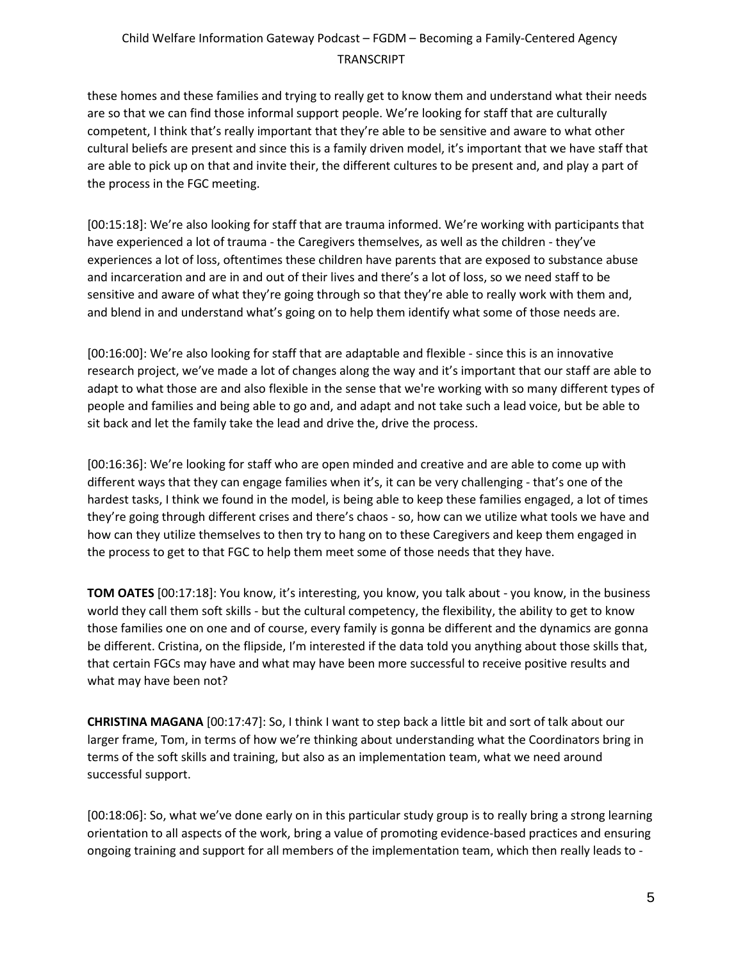these homes and these families and trying to really get to know them and understand what their needs are so that we can find those informal support people. We're looking for staff that are culturally competent, I think that's really important that they're able to be sensitive and aware to what other cultural beliefs are present and since this is a family driven model, it's important that we have staff that are able to pick up on that and invite their, the different cultures to be present and, and play a part of the process in the FGC meeting.

[00:15:18]: We're also looking for staff that are trauma informed. We're working with participants that have experienced a lot of trauma - the Caregivers themselves, as well as the children - they've experiences a lot of loss, oftentimes these children have parents that are exposed to substance abuse and incarceration and are in and out of their lives and there's a lot of loss, so we need staff to be sensitive and aware of what they're going through so that they're able to really work with them and, and blend in and understand what's going on to help them identify what some of those needs are.

[00:16:00]: We're also looking for staff that are adaptable and flexible - since this is an innovative research project, we've made a lot of changes along the way and it's important that our staff are able to adapt to what those are and also flexible in the sense that we're working with so many different types of people and families and being able to go and, and adapt and not take such a lead voice, but be able to sit back and let the family take the lead and drive the, drive the process.

[00:16:36]: We're looking for staff who are open minded and creative and are able to come up with different ways that they can engage families when it's, it can be very challenging - that's one of the hardest tasks, I think we found in the model, is being able to keep these families engaged, a lot of times they're going through different crises and there's chaos - so, how can we utilize what tools we have and how can they utilize themselves to then try to hang on to these Caregivers and keep them engaged in the process to get to that FGC to help them meet some of those needs that they have.

**TOM OATES** [00:17:18]: You know, it's interesting, you know, you talk about - you know, in the business world they call them soft skills - but the cultural competency, the flexibility, the ability to get to know those families one on one and of course, every family is gonna be different and the dynamics are gonna be different. Cristina, on the flipside, I'm interested if the data told you anything about those skills that, that certain FGCs may have and what may have been more successful to receive positive results and what may have been not?

**CHRISTINA MAGANA** [00:17:47]: So, I think I want to step back a little bit and sort of talk about our larger frame, Tom, in terms of how we're thinking about understanding what the Coordinators bring in terms of the soft skills and training, but also as an implementation team, what we need around successful support.

[00:18:06]: So, what we've done early on in this particular study group is to really bring a strong learning orientation to all aspects of the work, bring a value of promoting evidence-based practices and ensuring ongoing training and support for all members of the implementation team, which then really leads to -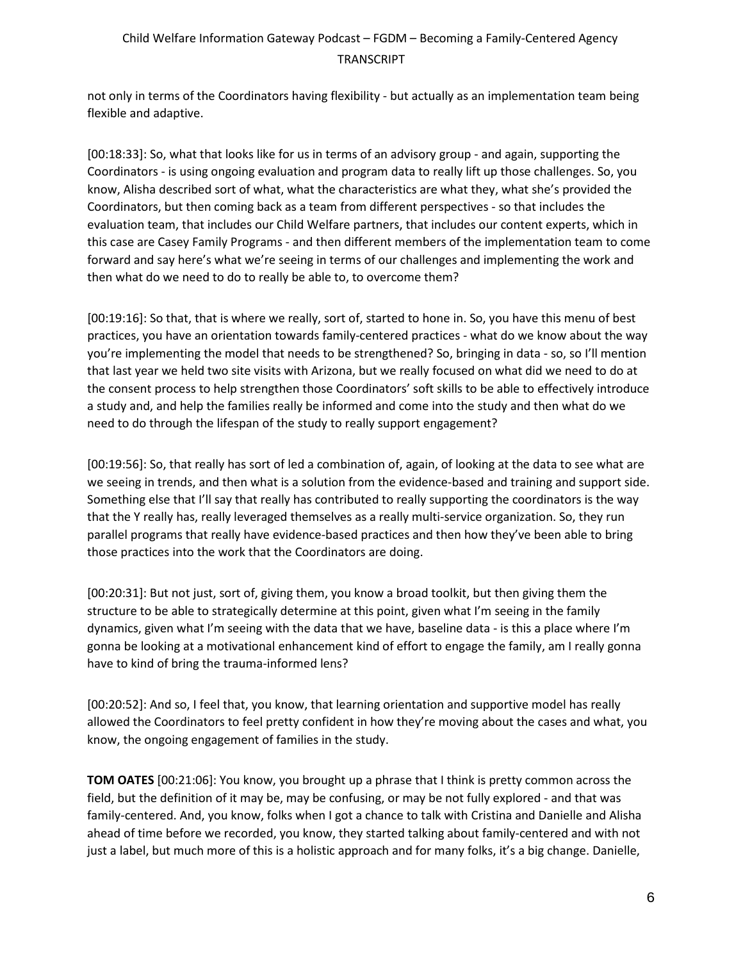not only in terms of the Coordinators having flexibility - but actually as an implementation team being flexible and adaptive.

[00:18:33]: So, what that looks like for us in terms of an advisory group - and again, supporting the Coordinators - is using ongoing evaluation and program data to really lift up those challenges. So, you know, Alisha described sort of what, what the characteristics are what they, what she's provided the Coordinators, but then coming back as a team from different perspectives - so that includes the evaluation team, that includes our Child Welfare partners, that includes our content experts, which in this case are Casey Family Programs - and then different members of the implementation team to come forward and say here's what we're seeing in terms of our challenges and implementing the work and then what do we need to do to really be able to, to overcome them?

[00:19:16]: So that, that is where we really, sort of, started to hone in. So, you have this menu of best practices, you have an orientation towards family-centered practices - what do we know about the way you're implementing the model that needs to be strengthened? So, bringing in data - so, so I'll mention that last year we held two site visits with Arizona, but we really focused on what did we need to do at the consent process to help strengthen those Coordinators' soft skills to be able to effectively introduce a study and, and help the families really be informed and come into the study and then what do we need to do through the lifespan of the study to really support engagement?

[00:19:56]: So, that really has sort of led a combination of, again, of looking at the data to see what are we seeing in trends, and then what is a solution from the evidence-based and training and support side. Something else that I'll say that really has contributed to really supporting the coordinators is the way that the Y really has, really leveraged themselves as a really multi-service organization. So, they run parallel programs that really have evidence-based practices and then how they've been able to bring those practices into the work that the Coordinators are doing.

[00:20:31]: But not just, sort of, giving them, you know a broad toolkit, but then giving them the structure to be able to strategically determine at this point, given what I'm seeing in the family dynamics, given what I'm seeing with the data that we have, baseline data - is this a place where I'm gonna be looking at a motivational enhancement kind of effort to engage the family, am I really gonna have to kind of bring the trauma-informed lens?

[00:20:52]: And so, I feel that, you know, that learning orientation and supportive model has really allowed the Coordinators to feel pretty confident in how they're moving about the cases and what, you know, the ongoing engagement of families in the study.

**TOM OATES** [00:21:06]: You know, you brought up a phrase that I think is pretty common across the field, but the definition of it may be, may be confusing, or may be not fully explored - and that was family-centered. And, you know, folks when I got a chance to talk with Cristina and Danielle and Alisha ahead of time before we recorded, you know, they started talking about family-centered and with not just a label, but much more of this is a holistic approach and for many folks, it's a big change. Danielle,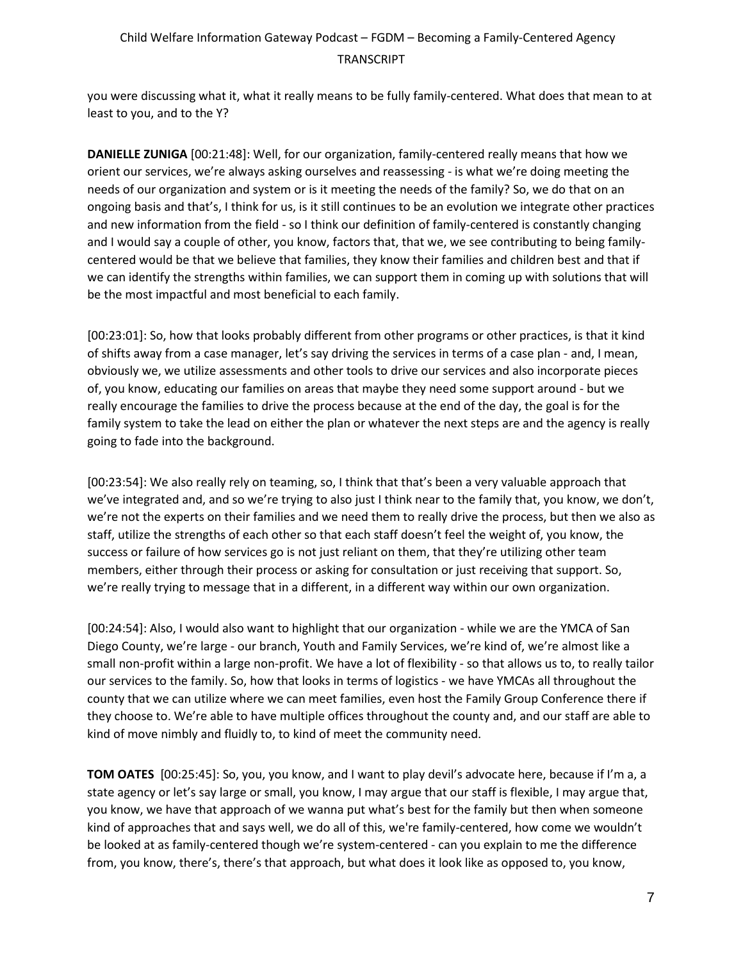you were discussing what it, what it really means to be fully family-centered. What does that mean to at least to you, and to the Y?

**DANIELLE ZUNIGA** [00:21:48]: Well, for our organization, family-centered really means that how we orient our services, we're always asking ourselves and reassessing - is what we're doing meeting the needs of our organization and system or is it meeting the needs of the family? So, we do that on an ongoing basis and that's, I think for us, is it still continues to be an evolution we integrate other practices and new information from the field - so I think our definition of family-centered is constantly changing and I would say a couple of other, you know, factors that, that we, we see contributing to being familycentered would be that we believe that families, they know their families and children best and that if we can identify the strengths within families, we can support them in coming up with solutions that will be the most impactful and most beneficial to each family.

[00:23:01]: So, how that looks probably different from other programs or other practices, is that it kind of shifts away from a case manager, let's say driving the services in terms of a case plan - and, I mean, obviously we, we utilize assessments and other tools to drive our services and also incorporate pieces of, you know, educating our families on areas that maybe they need some support around - but we really encourage the families to drive the process because at the end of the day, the goal is for the family system to take the lead on either the plan or whatever the next steps are and the agency is really going to fade into the background.

[00:23:54]: We also really rely on teaming, so, I think that that's been a very valuable approach that we've integrated and, and so we're trying to also just I think near to the family that, you know, we don't, we're not the experts on their families and we need them to really drive the process, but then we also as staff, utilize the strengths of each other so that each staff doesn't feel the weight of, you know, the success or failure of how services go is not just reliant on them, that they're utilizing other team members, either through their process or asking for consultation or just receiving that support. So, we're really trying to message that in a different, in a different way within our own organization.

[00:24:54]: Also, I would also want to highlight that our organization - while we are the YMCA of San Diego County, we're large - our branch, Youth and Family Services, we're kind of, we're almost like a small non-profit within a large non-profit. We have a lot of flexibility - so that allows us to, to really tailor our services to the family. So, how that looks in terms of logistics - we have YMCAs all throughout the county that we can utilize where we can meet families, even host the Family Group Conference there if they choose to. We're able to have multiple offices throughout the county and, and our staff are able to kind of move nimbly and fluidly to, to kind of meet the community need.

**TOM OATES** [00:25:45]: So, you, you know, and I want to play devil's advocate here, because if I'm a, a state agency or let's say large or small, you know, I may argue that our staff is flexible, I may argue that, you know, we have that approach of we wanna put what's best for the family but then when someone kind of approaches that and says well, we do all of this, we're family-centered, how come we wouldn't be looked at as family-centered though we're system-centered - can you explain to me the difference from, you know, there's, there's that approach, but what does it look like as opposed to, you know,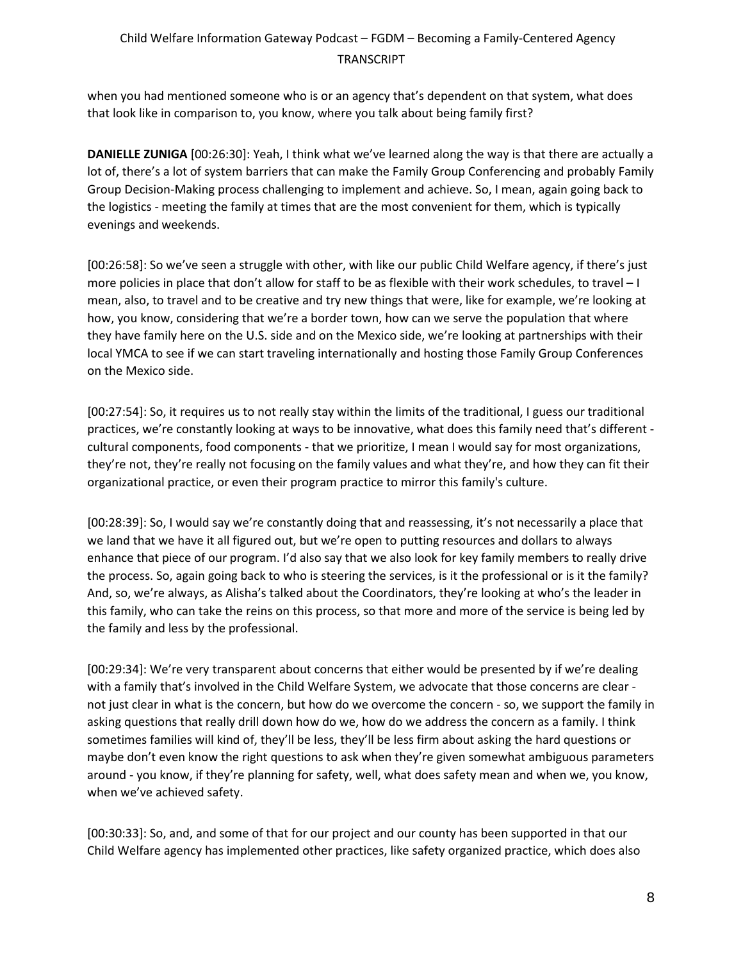when you had mentioned someone who is or an agency that's dependent on that system, what does that look like in comparison to, you know, where you talk about being family first?

**DANIELLE ZUNIGA** [00:26:30]: Yeah, I think what we've learned along the way is that there are actually a lot of, there's a lot of system barriers that can make the Family Group Conferencing and probably Family Group Decision-Making process challenging to implement and achieve. So, I mean, again going back to the logistics - meeting the family at times that are the most convenient for them, which is typically evenings and weekends.

[00:26:58]: So we've seen a struggle with other, with like our public Child Welfare agency, if there's just more policies in place that don't allow for staff to be as flexible with their work schedules, to travel – I mean, also, to travel and to be creative and try new things that were, like for example, we're looking at how, you know, considering that we're a border town, how can we serve the population that where they have family here on the U.S. side and on the Mexico side, we're looking at partnerships with their local YMCA to see if we can start traveling internationally and hosting those Family Group Conferences on the Mexico side.

[00:27:54]: So, it requires us to not really stay within the limits of the traditional, I guess our traditional practices, we're constantly looking at ways to be innovative, what does this family need that's different cultural components, food components - that we prioritize, I mean I would say for most organizations, they're not, they're really not focusing on the family values and what they're, and how they can fit their organizational practice, or even their program practice to mirror this family's culture.

[00:28:39]: So, I would say we're constantly doing that and reassessing, it's not necessarily a place that we land that we have it all figured out, but we're open to putting resources and dollars to always enhance that piece of our program. I'd also say that we also look for key family members to really drive the process. So, again going back to who is steering the services, is it the professional or is it the family? And, so, we're always, as Alisha's talked about the Coordinators, they're looking at who's the leader in this family, who can take the reins on this process, so that more and more of the service is being led by the family and less by the professional.

[00:29:34]: We're very transparent about concerns that either would be presented by if we're dealing with a family that's involved in the Child Welfare System, we advocate that those concerns are clear not just clear in what is the concern, but how do we overcome the concern - so, we support the family in asking questions that really drill down how do we, how do we address the concern as a family. I think sometimes families will kind of, they'll be less, they'll be less firm about asking the hard questions or maybe don't even know the right questions to ask when they're given somewhat ambiguous parameters around - you know, if they're planning for safety, well, what does safety mean and when we, you know, when we've achieved safety.

[00:30:33]: So, and, and some of that for our project and our county has been supported in that our Child Welfare agency has implemented other practices, like safety organized practice, which does also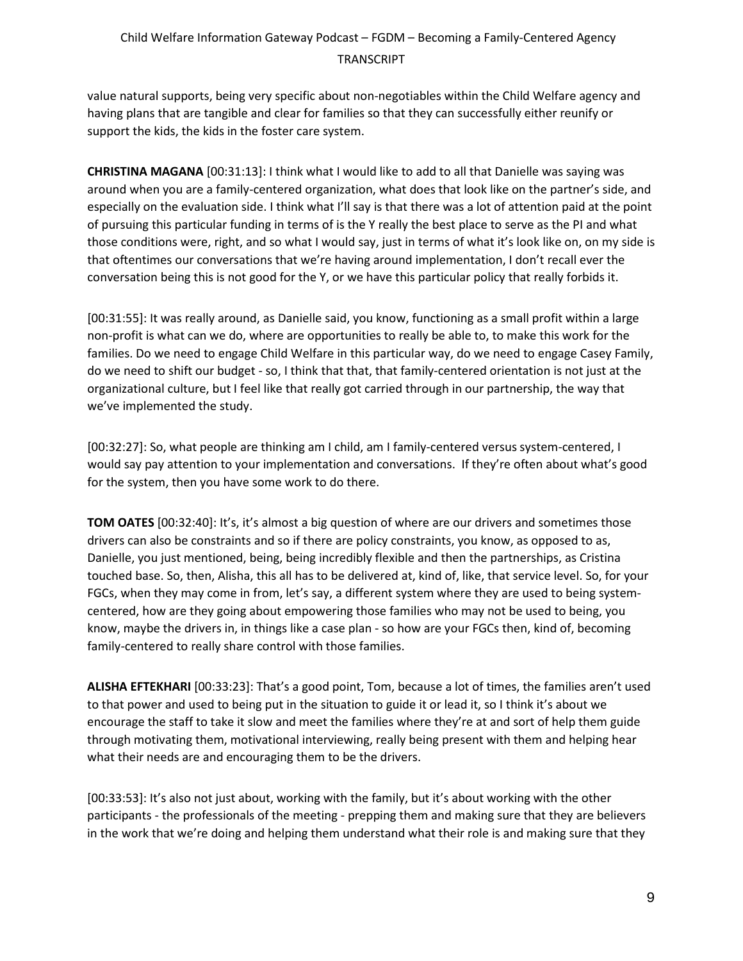value natural supports, being very specific about non-negotiables within the Child Welfare agency and having plans that are tangible and clear for families so that they can successfully either reunify or support the kids, the kids in the foster care system.

**CHRISTINA MAGANA** [00:31:13]: I think what I would like to add to all that Danielle was saying was around when you are a family-centered organization, what does that look like on the partner's side, and especially on the evaluation side. I think what I'll say is that there was a lot of attention paid at the point of pursuing this particular funding in terms of is the Y really the best place to serve as the PI and what those conditions were, right, and so what I would say, just in terms of what it's look like on, on my side is that oftentimes our conversations that we're having around implementation, I don't recall ever the conversation being this is not good for the Y, or we have this particular policy that really forbids it.

[00:31:55]: It was really around, as Danielle said, you know, functioning as a small profit within a large non-profit is what can we do, where are opportunities to really be able to, to make this work for the families. Do we need to engage Child Welfare in this particular way, do we need to engage Casey Family, do we need to shift our budget - so, I think that that, that family-centered orientation is not just at the organizational culture, but I feel like that really got carried through in our partnership, the way that we've implemented the study.

[00:32:27]: So, what people are thinking am I child, am I family-centered versus system-centered, I would say pay attention to your implementation and conversations. If they're often about what's good for the system, then you have some work to do there.

**TOM OATES** [00:32:40]: It's, it's almost a big question of where are our drivers and sometimes those drivers can also be constraints and so if there are policy constraints, you know, as opposed to as, Danielle, you just mentioned, being, being incredibly flexible and then the partnerships, as Cristina touched base. So, then, Alisha, this all has to be delivered at, kind of, like, that service level. So, for your FGCs, when they may come in from, let's say, a different system where they are used to being systemcentered, how are they going about empowering those families who may not be used to being, you know, maybe the drivers in, in things like a case plan - so how are your FGCs then, kind of, becoming family-centered to really share control with those families.

**ALISHA EFTEKHARI** [00:33:23]: That's a good point, Tom, because a lot of times, the families aren't used to that power and used to being put in the situation to guide it or lead it, so I think it's about we encourage the staff to take it slow and meet the families where they're at and sort of help them guide through motivating them, motivational interviewing, really being present with them and helping hear what their needs are and encouraging them to be the drivers.

[00:33:53]: It's also not just about, working with the family, but it's about working with the other participants - the professionals of the meeting - prepping them and making sure that they are believers in the work that we're doing and helping them understand what their role is and making sure that they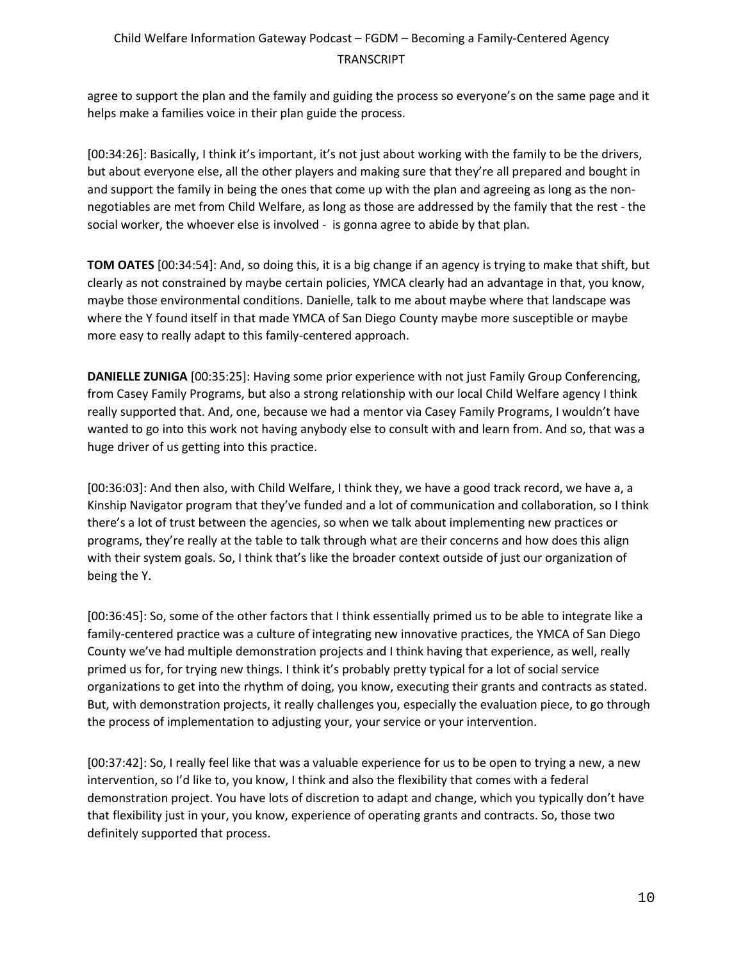agree to support the plan and the family and guiding the process so everyone's on the same page and it helps make a families voice in their plan guide the process.

[00:34:26]: Basically, I think it's important, it's not just about working with the family to be the drivers, but about everyone else, all the other players and making sure that they're all prepared and bought in and support the family in being the ones that come up with the plan and agreeing as long as the nonnegotiables are met from Child Welfare, as long as those are addressed by the family that the rest - the social worker, the whoever else is involved - is gonna agree to abide by that plan.

**TOM OATES** [00:34:54]: And, so doing this, it is a big change if an agency is trying to make that shift, but clearly as not constrained by maybe certain policies, YMCA clearly had an advantage in that, you know, maybe those environmental conditions. Danielle, talk to me about maybe where that landscape was where the Y found itself in that made YMCA of San Diego County maybe more susceptible or maybe more easy to really adapt to this family-centered approach.

**DANIELLE ZUNIGA** [00:35:25]: Having some prior experience with not just Family Group Conferencing, from Casey Family Programs, but also a strong relationship with our local Child Welfare agency I think really supported that. And, one, because we had a mentor via Casey Family Programs, I wouldn't have wanted to go into this work not having anybody else to consult with and learn from. And so, that was a huge driver of us getting into this practice.

[00:36:03]: And then also, with Child Welfare, I think they, we have a good track record, we have a, a Kinship Navigator program that they've funded and a lot of communication and collaboration, so I think there's a lot of trust between the agencies, so when we talk about implementing new practices or programs, they're really at the table to talk through what are their concerns and how does this align with their system goals. So, I think that's like the broader context outside of just our organization of being the Y.

[00:36:45]: So, some of the other factors that I think essentially primed us to be able to integrate like a family-centered practice was a culture of integrating new innovative practices, the YMCA of San Diego County we've had multiple demonstration projects and I think having that experience, as well, really primed us for, for trying new things. I think it's probably pretty typical for a lot of social service organizations to get into the rhythm of doing, you know, executing their grants and contracts as stated. But, with demonstration projects, it really challenges you, especially the evaluation piece, to go through the process of implementation to adjusting your, your service or your intervention.

[00:37:42]: So, I really feel like that was a valuable experience for us to be open to trying a new, a new intervention, so I'd like to, you know, I think and also the flexibility that comes with a federal demonstration project. You have lots of discretion to adapt and change, which you typically don't have that flexibility just in your, you know, experience of operating grants and contracts. So, those two definitely supported that process.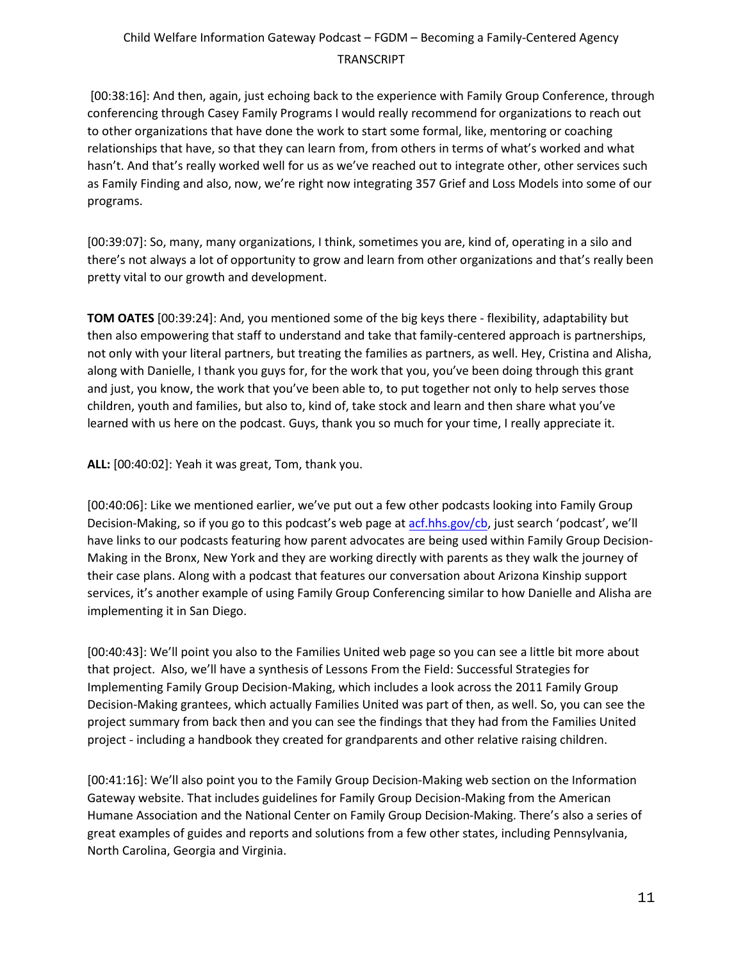[00:38:16]: And then, again, just echoing back to the experience with Family Group Conference, through conferencing through Casey Family Programs I would really recommend for organizations to reach out to other organizations that have done the work to start some formal, like, mentoring or coaching relationships that have, so that they can learn from, from others in terms of what's worked and what hasn't. And that's really worked well for us as we've reached out to integrate other, other services such as Family Finding and also, now, we're right now integrating 357 Grief and Loss Models into some of our programs.

[00:39:07]: So, many, many organizations, I think, sometimes you are, kind of, operating in a silo and there's not always a lot of opportunity to grow and learn from other organizations and that's really been pretty vital to our growth and development.

**TOM OATES** [00:39:24]: And, you mentioned some of the big keys there - flexibility, adaptability but then also empowering that staff to understand and take that family-centered approach is partnerships, not only with your literal partners, but treating the families as partners, as well. Hey, Cristina and Alisha, along with Danielle, I thank you guys for, for the work that you, you've been doing through this grant and just, you know, the work that you've been able to, to put together not only to help serves those children, youth and families, but also to, kind of, take stock and learn and then share what you've learned with us here on the podcast. Guys, thank you so much for your time, I really appreciate it.

**ALL:** [00:40:02]: Yeah it was great, Tom, thank you.

[00:40:06]: Like we mentioned earlier, we've put out a few other podcasts looking into Family Group Decision-Making, so if you go to this podcast's web page at [acf.hhs.gov/cb,](https://www.acf.hhs.gov/cb) just search 'podcast', we'll have links to our podcasts featuring how parent advocates are being used within Family Group Decision-Making in the Bronx, New York and they are working directly with parents as they walk the journey of their case plans. Along with a podcast that features our conversation about Arizona Kinship support services, it's another example of using Family Group Conferencing similar to how Danielle and Alisha are implementing it in San Diego.

[00:40:43]: We'll point you also to the Families United web page so you can see a little bit more about that project. Also, we'll have a synthesis of Lessons From the Field: Successful Strategies for Implementing Family Group Decision-Making, which includes a look across the 2011 Family Group Decision-Making grantees, which actually Families United was part of then, as well. So, you can see the project summary from back then and you can see the findings that they had from the Families United project - including a handbook they created for grandparents and other relative raising children.

[00:41:16]: We'll also point you to the Family Group Decision-Making web section on the Information Gateway website. That includes guidelines for Family Group Decision-Making from the American Humane Association and the National Center on Family Group Decision-Making. There's also a series of great examples of guides and reports and solutions from a few other states, including Pennsylvania, North Carolina, Georgia and Virginia.